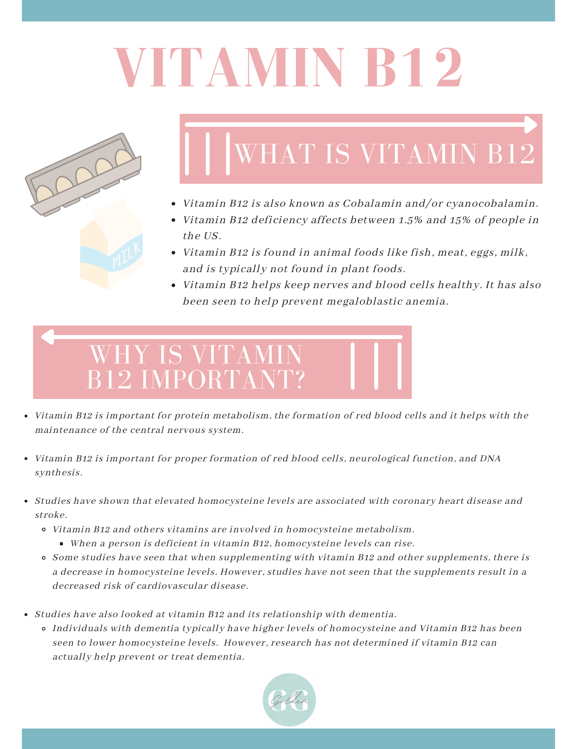# **VITAMIN B12**



## WHAT IS VITAMIN B12

- Vitamin B12 is also known as Cobalamin and/or cyanocobalamin.
- Vitamin B12 deficiency affects between 1.5% and 15% of people in the US.
- $\bullet$  Vitamin B12 is found in animal foods like fish, meat, eggs, milk, and is typically not found in plant foods.
- Vitamin B12 helps keep nerves and blood cells healthy. It has also been seen to help prevent megaloblastic anemia.



- Vitamin B12 is important for protein metabolism, the formation of red blood cells and it helps with the maintenance of the central nervous system.
- Vitamin B12 is important for proper formation of red blood cells, neurological function, and DNA synthesis.
- Studies have shown that elevated homocysteine levels are associated with coronary heart disease and stroke.
	- Vitamin B12 and others vitamins are involved in homocysteine metabolism. When a person is deficient in vitamin B12, homocysteine levels can rise.
	- Some studies have seen that when supplementing with vitamin B12 and other supplements, there is a decrease in homocysteine levels. However, studies have not seen that the supplements result in a decreased risk of cardiovascular disease.
- Studies have also looked at vitamin B12 and its relationship with dementia.
	- Individuals with dementia typically have higher levels of homocysteine and Vitamin B12 has been seen to lower homocysteine levels. However, research has not determined if vitamin B12 can actually help prevent or treat dementia.